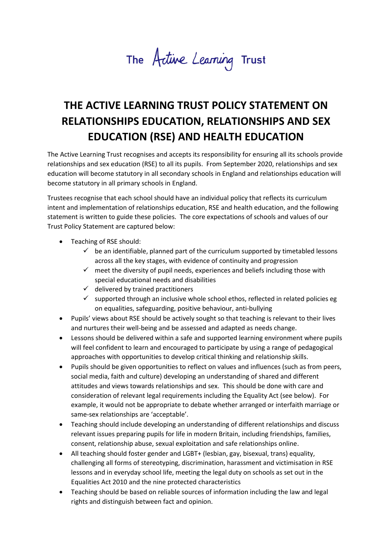The Active Learning Trust

## **THE ACTIVE LEARNING TRUST POLICY STATEMENT ON RELATIONSHIPS EDUCATION, RELATIONSHIPS AND SEX EDUCATION (RSE) AND HEALTH EDUCATION**

The Active Learning Trust recognises and accepts its responsibility for ensuring all its schools provide relationships and sex education (RSE) to all its pupils. From September 2020, relationships and sex education will become statutory in all secondary schools in England and relationships education will become statutory in all primary schools in England.

Trustees recognise that each school should have an individual policy that reflects its curriculum intent and implementation of relationships education, RSE and health education, and the following statement is written to guide these policies. The core expectations of schools and values of our Trust Policy Statement are captured below:

- Teaching of RSE should:
	- $\checkmark$  be an identifiable, planned part of the curriculum supported by timetabled lessons across all the key stages, with evidence of continuity and progression
	- $\checkmark$  meet the diversity of pupil needs, experiences and beliefs including those with special educational needs and disabilities
	- $\checkmark$  delivered by trained practitioners
	- $\checkmark$  supported through an inclusive whole school ethos, reflected in related policies eg on equalities, safeguarding, positive behaviour, anti-bullying
- Pupils' views about RSE should be actively sought so that teaching is relevant to their lives and nurtures their well-being and be assessed and adapted as needs change.
- Lessons should be delivered within a safe and supported learning environment where pupils will feel confident to learn and encouraged to participate by using a range of pedagogical approaches with opportunities to develop critical thinking and relationship skills.
- Pupils should be given opportunities to reflect on values and influences (such as from peers, social media, faith and culture) developing an understanding of shared and different attitudes and views towards relationships and sex. This should be done with care and consideration of relevant legal requirements including the Equality Act (see below). For example, it would not be appropriate to debate whether arranged or interfaith marriage or same-sex relationships are 'acceptable'.
- Teaching should include developing an understanding of different relationships and discuss relevant issues preparing pupils for life in modern Britain, including friendships, families, consent, relationship abuse, sexual exploitation and safe relationships online.
- All teaching should foster gender and LGBT+ (lesbian, gay, bisexual, trans) equality, challenging all forms of stereotyping, discrimination, harassment and victimisation in RSE lessons and in everyday school life, meeting the legal duty on schools as set out in the Equalities Act 2010 and the nine protected characteristics
- Teaching should be based on reliable sources of information including the law and legal rights and distinguish between fact and opinion.